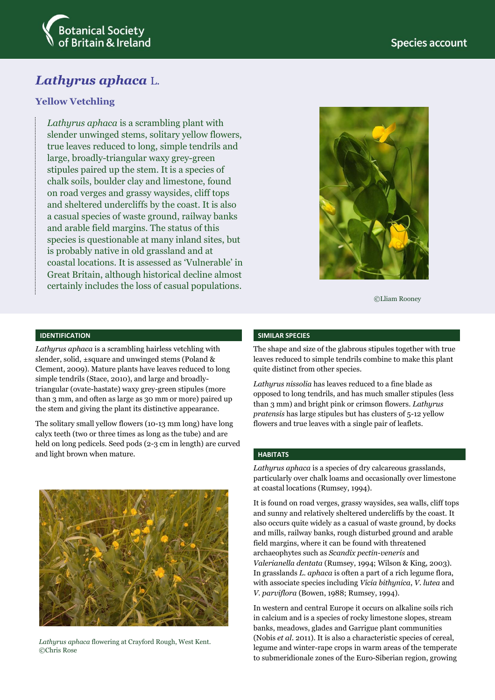



# **Yellow Vetchling**

*Lathyrus aphaca* is a scrambling plant with slender unwinged stems, solitary yellow flowers, true leaves reduced to long, simple tendrils and large, broadly-triangular waxy grey-green stipules paired up the stem. It is a species of chalk soils, boulder clay and limestone, found on road verges and grassy waysides, cliff tops and sheltered undercliffs by the coast. It is also a casual species of waste ground, railway banks and arable field margins. The status of this species is questionable at many inland sites, but is probably native in old grassland and at coastal locations. It is assessed as 'Vulnerable' in Great Britain, although historical decline almost certainly includes the loss of casual populations.



©Lliam Rooney

### **IDENTIFICATION**

*Lathyrus aphaca* is a scrambling hairless vetchling with slender, solid, ±square and unwinged stems (Poland & Clement, 2009). Mature plants have leaves reduced to long simple tendrils (Stace, 2010), and large and broadlytriangular (ovate-hastate) waxy grey-green stipules (more than 3 mm, and often as large as 30 mm or more) paired up the stem and giving the plant its distinctive appearance.

The solitary small yellow flowers (10-13 mm long) have long calyx teeth (two or three times as long as the tube) and are held on long pedicels. Seed pods (2-3 cm in length) are curved and light brown when mature.



*Lathyrus aphaca* flowering at Crayford Rough, West Kent. ©Chris Rose

#### **SIMILAR SPECIES**

The shape and size of the glabrous stipules together with true leaves reduced to simple tendrils combine to make this plant quite distinct from other species.

*Lathyrus nissolia* has leaves reduced to a fine blade as opposed to long tendrils, and has much smaller stipules (less than 3 mm) and bright pink or crimson flowers. *Lathyrus pratensis* has large stipules but has clusters of 5-12 yellow flowers and true leaves with a single pair of leaflets.

### **HABITATS**

*Lathyrus aphaca* is a species of dry calcareous grasslands, particularly over chalk loams and occasionally over limestone at coastal locations (Rumsey, 1994).

It is found on road verges, grassy waysides, sea walls, cliff tops and sunny and relatively sheltered undercliffs by the coast. It also occurs quite widely as a casual of waste ground, by docks and mills, railway banks, rough disturbed ground and arable field margins, where it can be found with threatened archaeophytes such as *Scandix pectin-veneris* and *Valerianella dentata* (Rumsey, 1994; Wilson & King, 2003). In grasslands *L. aphaca* is often a part of a rich legume flora, with associate species including *Vicia bithynica*, *V. lutea* and *V. parviflora* (Bowen, 1988; Rumsey, 1994).

In western and central Europe it occurs on alkaline soils rich in calcium and is a species of rocky limestone slopes, stream banks, meadows, glades and Garrigue plant communities (Nobis *et al*. 2011). It is also a characteristic species of cereal, legume and winter-rape crops in warm areas of the temperate to submeridionale zones of the Euro-Siberian region, growing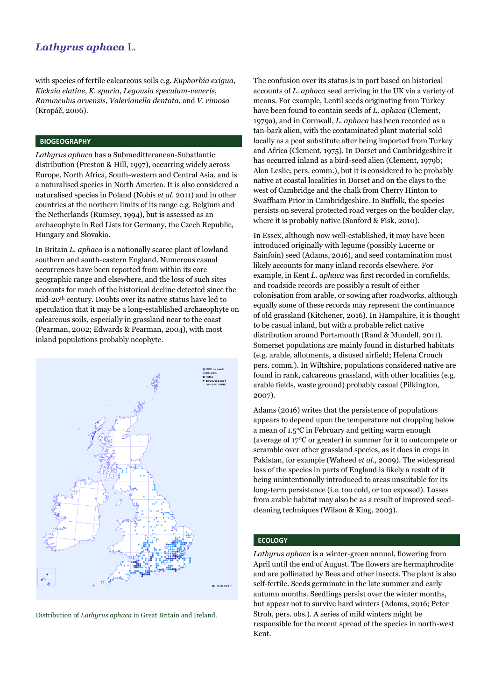with species of fertile calcareous soils e.g. *Euphorbia exigua*, *Kickxia elatine*, *K. spuria*, *Legousia speculum-veneris*, *Ranunculus arvensis*, *Valerianella dentata*, and *V. rimosa* (Kropáč, 2006).

### **BIOGEOGRAPHY**

*Lathyrus aphaca* has a Submeditteranean-Subatlantic distribution (Preston & Hill, 1997), occurring widely across Europe, North Africa, South-western and Central Asia, and is a naturalised species in North America. It is also considered a naturalised species in Poland (Nobis *et al*. 2011) and in other countries at the northern limits of its range e.g. Belgium and the Netherlands (Rumsey, 1994), but is assessed as an archaeophyte in Red Lists for Germany, the Czech Republic, Hungary and Slovakia.

In Britain *L. aphaca* is a nationally scarce plant of lowland southern and south-eastern England. Numerous casual occurrences have been reported from within its core geographic range and elsewhere, and the loss of such sites accounts for much of the historical decline detected since the mid-20th century. Doubts over its native status have led to speculation that it may be a long-established archaeophyte on calcareous soils, especially in grassland near to the coast (Pearman, 2002; Edwards & Pearman, 2004), with most inland populations probably neophyte.





The confusion over its status is in part based on historical accounts of *L. aphaca* seed arriving in the UK via a variety of means. For example, Lentil seeds originating from Turkey have been found to contain seeds of *L. aphaca* (Clement, 1979a), and in Cornwall, *L. aphaca* has been recorded as a tan-bark alien, with the contaminated plant material sold locally as a peat substitute after being imported from Turkey and Africa (Clement, 1975). In Dorset and Cambridgeshire it has occurred inland as a bird-seed alien (Clement, 1979b; Alan Leslie, pers. comm.), but it is considered to be probably native at coastal localities in Dorset and on the clays to the west of Cambridge and the chalk from Cherry Hinton to Swaffham Prior in Cambridgeshire. In Suffolk, the species persists on several protected road verges on the boulder clay, where it is probably native (Sanford & Fisk, 2010).

In Essex, although now well-established, it may have been introduced originally with legume (possibly Lucerne or Sainfoin) seed (Adams, 2016), and seed contamination most likely accounts for many inland records elsewhere. For example, in Kent *L. aphaca* was first recorded in cornfields, and roadside records are possibly a result of either colonisation from arable, or sowing after roadworks, although equally some of these records may represent the continuance of old grassland (Kitchener, 2016). In Hampshire, it is thought to be casual inland, but with a probable relict native distribution around Portsmouth (Rand & Mundell, 2011). Somerset populations are mainly found in disturbed habitats (e.g. arable, allotments, a disused airfield; Helena Crouch pers. comm.). In Wiltshire, populations considered native are found in rank, calcareous grassland, with other localities (e.g. arable fields, waste ground) probably casual (Pilkington, 2007).

Adams (2016) writes that the persistence of populations appears to depend upon the temperature not dropping below a mean of 1.5°C in February and getting warm enough (average of 17<sup>0</sup>C or greater) in summer for it to outcompete or scramble over other grassland species, as it does in crops in Pakistan, for example (Waheed *et al*., 2009). The widespread loss of the species in parts of England is likely a result of it being unintentionally introduced to areas unsuitable for its long-term persistence (i.e. too cold, or too exposed). Losses from arable habitat may also be as a result of improved seedcleaning techniques (Wilson & King, 2003).

#### **ECOLOGY**

*Lathyrus aphaca* is a winter-green annual, flowering from April until the end of August. The flowers are hermaphrodite and are pollinated by Bees and other insects. The plant is also self-fertile. Seeds germinate in the late summer and early autumn months. Seedlings persist over the winter months, but appear not to survive hard winters (Adams, 2016; Peter Stroh, pers. obs.). A series of mild winters might be responsible for the recent spread of the species in north-west Kent.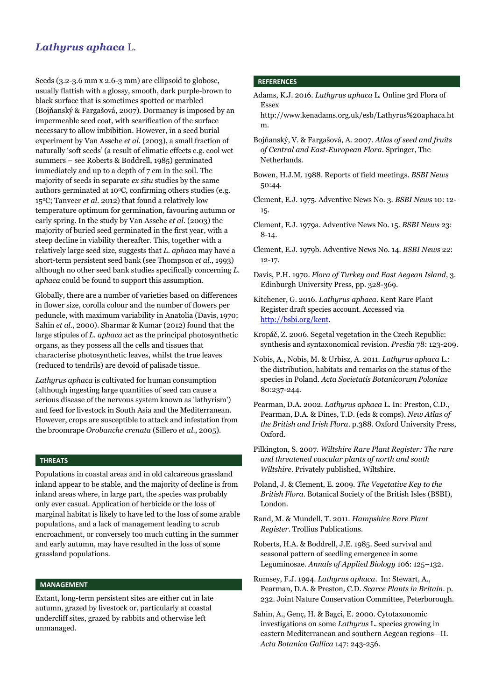Seeds (3.2-3.6 mm x 2.6-3 mm) are ellipsoid to globose, usually flattish with a glossy, smooth, dark purple-brown to black surface that is sometimes spotted or marbled (Bojňanský & Fargašová, 2007). Dormancy is imposed by an impermeable seed coat, with scarification of the surface necessary to allow imbibition. However, in a seed burial experiment by Van Assche *et al*. (2003), a small fraction of naturally 'soft seeds' (a result of climatic effects e.g. cool wet summers – see Roberts & Boddrell, 1985) germinated immediately and up to a depth of 7 cm in the soil. The majority of seeds in separate *ex situ* studies by the same authors germinated at  $10^{\circ}$ C, confirming others studies (e.g. 15<sup>o</sup>C; Tanveer *et al*. 2012) that found a relatively low temperature optimum for germination, favouring autumn or early spring. In the study by Van Assche *et al*. (2003) the majority of buried seed germinated in the first year, with a steep decline in viability thereafter. This, together with a relatively large seed size, suggests that *L. aphaca* may have a short-term persistent seed bank (see Thompson *et al*., 1993) although no other seed bank studies specifically concerning *L. aphaca* could be found to support this assumption.

Globally, there are a number of varieties based on differences in flower size, corolla colour and the number of flowers per peduncle, with maximum variability in Anatolia (Davis, 1970; Sahin *et al*., 2000). Sharmar & Kumar (2012) found that the large stipules of *L. aphaca* act as the principal photosynthetic organs, as they possess all the cells and tissues that characterise photosynthetic leaves, whilst the true leaves (reduced to tendrils) are devoid of palisade tissue.

*Lathyrus aphaca* is cultivated for human consumption (although ingesting large quantities of seed can cause a serious disease of the nervous system known as 'lathyrism') and feed for livestock in South Asia and the Mediterranean. However, crops are susceptible to attack and infestation from the broomrape *Orobanche crenata* (Sillero *et al*., 2005).

### **THREATS**

Populations in coastal areas and in old calcareous grassland inland appear to be stable, and the majority of decline is from inland areas where, in large part, the species was probably only ever casual. Application of herbicide or the loss of marginal habitat is likely to have led to the loss of some arable populations, and a lack of management leading to scrub encroachment, or conversely too much cutting in the summer and early autumn, may have resulted in the loss of some grassland populations.

### **MANAGEMENT**

Extant, long-term persistent sites are either cut in late autumn, grazed by livestock or, particularly at coastal undercliff sites, grazed by rabbits and otherwise left unmanaged.

#### **REFERENCES**

- Adams, K.J. 2016. *Lathyrus aphaca* L. Online 3rd Flora of Essex
- [http://www.kenadams.org.uk/esb/Lathyrus%20aphaca.ht](http://www.kenadams.org.uk/esb/Lathyrus%20aphaca.htm) [m.](http://www.kenadams.org.uk/esb/Lathyrus%20aphaca.htm)
- Bojňanský, V. & Fargašová, A. 2007. *Atlas of seed and fruits of Central and East-European Flora*. Springer, The Netherlands.
- Bowen, H.J.M. 1988. Reports of field meetings. *BSBI News* 50:44.
- Clement, E.J. 1975. Adventive News No. 3. *BSBI News* 10: 12- 15.
- Clement, E.J. 1979a. Adventive News No. 15. *BSBI News* 23: 8-14.

Clement, E.J. 1979b. Adventive News No. 14. *BSBI News* 22: 12-17.

- Davis, P.H. 1970. *Flora of Turkey and East Aegean Island*, 3. Edinburgh University Press, pp. 328-369.
- Kitchener, G. 2016. *Lathyrus aphaca*. Kent Rare Plant Register draft species account. Accessed via [http://bsbi.org/kent.](http://bsbi.org/kent)
- Kropáč, Z. 2006. Segetal vegetation in the Czech Republic: synthesis and syntaxonomical revision. *Preslia* 78: 123-209.
- Nobis, A., Nobis, M. & Urbisz, A. 2011. *Lathyrus aphaca* L.: the distribution, habitats and remarks on the status of the species in Poland. *Acta Societatis Botanicorum Poloniae* 80:237-244.
- Pearman, D.A. 2002. *Lathyrus aphaca* L. In: Preston, C.D., Pearman, D.A. & Dines, T.D. (eds & comps). *New Atlas of the British and Irish Flora*. p.388. Oxford University Press, Oxford.
- Pilkington, S. 2007. *Wiltshire Rare Plant Register: The rare and threatened vascular plants of north and south Wiltshire*. Privately published, Wiltshire.
- Poland, J. & Clement, E. 2009. *The Vegetative Key to the British Flora*. Botanical Society of the British Isles (BSBI), London.
- Rand, M. & Mundell, T. 2011. *Hampshire Rare Plant Register*. Trollius Publications.
- Roberts, H.A. & Boddrell, J.E. 1985. Seed survival and seasonal pattern of seedling emergence in some Leguminosae. *Annals of Applied Biology* 106: 125–132.
- Rumsey, F.J. 1994. *Lathyrus aphaca*. In: Stewart, A., Pearman, D.A. & Preston, C.D. *Scarce Plants in Britain*. p. 232. Joint Nature Conservation Committee, Peterborough.
- Sahin, A., Genç, H. & Bagci, E. 2000. Cytotaxonomic investigations on some *Lathyrus* L. species growing in eastern Mediterranean and southern Aegean regions—II. *Acta Botanica Gallica* 147: 243-256.